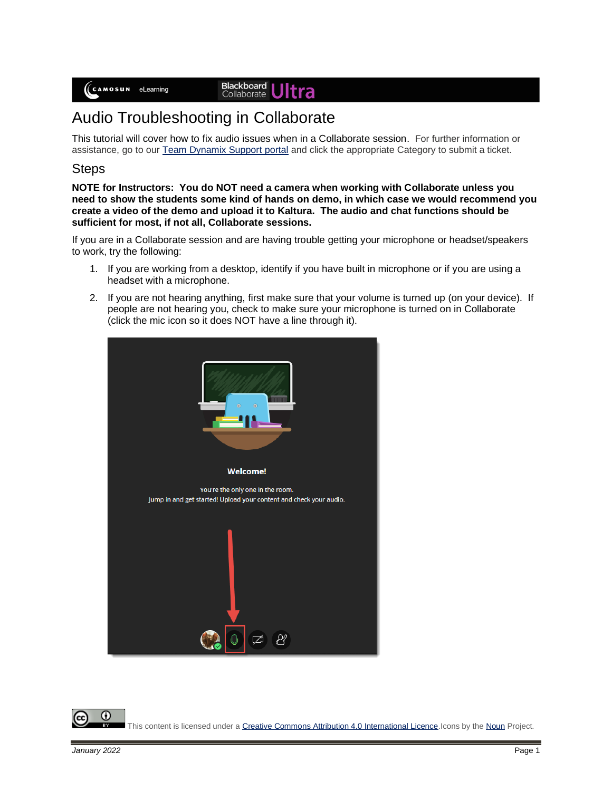## **Blackboard**<br>Collaborate

## Audio Troubleshooting in Collaborate

This tutorial will cover how to fix audio issues when in a Collaborate session. For further information or assistance, go to our [Team Dynamix Support portal](https://camosun.teamdynamix.com/TDClient/67/Portal/Requests/ServiceCatalog?CategoryID=523) and click the appropriate Category to submit a ticket.

## Steps

**NOTE for Instructors: You do NOT need a camera when working with Collaborate unless you need to show the students some kind of hands on demo, in which case we would recommend you create a video of the demo and upload it to Kaltura. The audio and chat functions should be sufficient for most, if not all, Collaborate sessions.**

If you are in a Collaborate session and are having trouble getting your microphone or headset/speakers to work, try the following:

- 1. If you are working from a desktop, identify if you have built in microphone or if you are using a headset with a microphone.
- 2. If you are not hearing anything, first make sure that your volume is turned up (on your device). If people are not hearing you, check to make sure your microphone is turned on in Collaborate (click the mic icon so it does NOT have a line through it).



This content is licensed under [a Creative Commons Attribution 4.0 International Licence.I](https://creativecommons.org/licenses/by/4.0/)cons by th[e Noun](https://creativecommons.org/website-icons/) Project.

⋒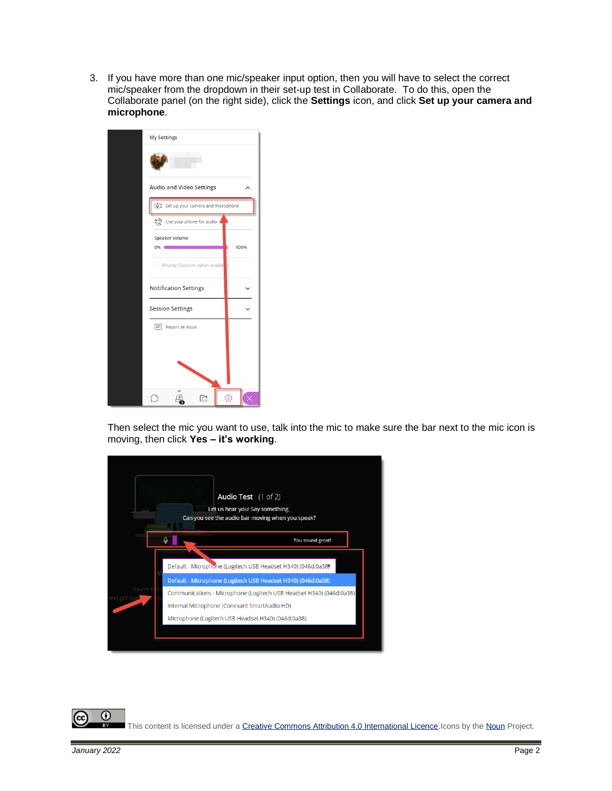3. If you have more than one mic/speaker input option, then you will have to select the correct mic/speaker from the dropdown in their set-up test in Collaborate. To do this, open the Collaborate panel (on the right side), click the **Settings** icon, and click **Set up your camera and microphone**.



Then select the mic you want to use, talk into the mic to make sure the bar next to the mic icon is moving, then click **Yes – it's working**.



 $\odot$ This content is licensed under [a Creative Commons Attribution 4.0 International Licence.I](https://creativecommons.org/licenses/by/4.0/)cons by th[e Noun](https://creativecommons.org/website-icons/) Project.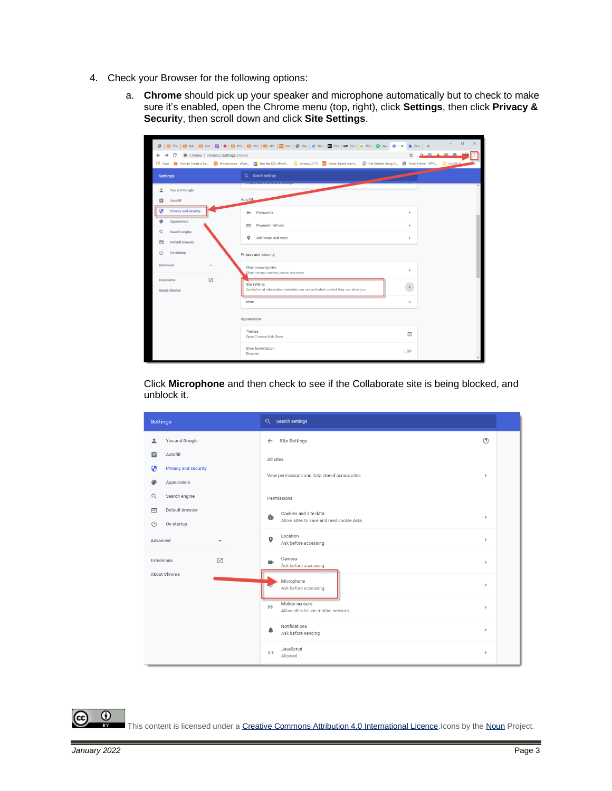- 4. Check your Browser for the following options:
	- a. **Chrome** should pick up your speaker and microphone automatically but to check to make sure it's enabled, open the Chrome menu (top, right), click **Settings**, then click **Privacy & Securit**y, then scroll down and click **Site Settings**.

|                                 |                 |                                                                                      |                          |                                                                                                      | ©   © The   ⊙ Tabl   ⊙ Coll   ⊠ 1 ©   ⊙ Prin   ⊙ Prin   ⊙ ePo   ⊠ Inst   ⊙ Das   ≥ Hon   ⊠ Find   MP Con   ⊙ Post   ⊙ Wel \$ : x \$ Exte   + |           |  | $\Box$ | $\times$ |
|---------------------------------|-----------------|--------------------------------------------------------------------------------------|--------------------------|------------------------------------------------------------------------------------------------------|----------------------------------------------------------------------------------------------------------------------------------------------|-----------|--|--------|----------|
|                                 |                 | $\leftarrow$ $\rightarrow$ $\mathbb{C}$ $\bullet$ Chrome   chrome://settings/privacy |                          |                                                                                                      |                                                                                                                                              |           |  |        |          |
|                                 | <b>Settings</b> |                                                                                      |                          |                                                                                                      | Q Search settings                                                                                                                            |           |  |        |          |
|                                 |                 | You and Google                                                                       |                          |                                                                                                      |                                                                                                                                              |           |  |        |          |
|                                 | 自               | Autofill                                                                             |                          | Autofill                                                                                             |                                                                                                                                              |           |  |        |          |
|                                 | ø               | <b>Privacy and security</b>                                                          |                          | $O_T$                                                                                                | Passwords                                                                                                                                    | ×         |  |        |          |
|                                 |                 | Appearance                                                                           |                          | $\blacksquare$                                                                                       | Payment methods                                                                                                                              | $\,$      |  |        |          |
|                                 | Q               | Search engine                                                                        |                          | ۰                                                                                                    | Addresses and more                                                                                                                           | $\,$      |  |        |          |
|                                 | Ξ               | Default browser                                                                      |                          |                                                                                                      |                                                                                                                                              |           |  |        |          |
|                                 | $\cup$          | On startup                                                                           |                          |                                                                                                      | Privacy and security                                                                                                                         |           |  |        |          |
|                                 | Advanced        |                                                                                      | $\overline{\phantom{a}}$ |                                                                                                      | Clear browsing data<br>Clear history, cookies, cache, and more                                                                               | $\,$      |  |        |          |
| ☑<br>Extensions<br>About Chrome |                 |                                                                                      |                          | <b>Site Settings</b><br>Control what information websites can use and what content they can show you | $\,$                                                                                                                                         |           |  |        |          |
|                                 |                 |                                                                                      | More                     |                                                                                                      | $\checkmark$                                                                                                                                 |           |  |        |          |
|                                 |                 | Appearance                                                                           |                          |                                                                                                      |                                                                                                                                              |           |  |        |          |
|                                 |                 |                                                                                      |                          |                                                                                                      | <b>Themes</b><br>Open Chrome Web Store                                                                                                       | 囜         |  |        |          |
|                                 |                 |                                                                                      |                          |                                                                                                      | Show home button<br><b>Disabled</b>                                                                                                          | $\subset$ |  |        |          |

Click **Microphone** and then check to see if the Collaborate site is being blocked, and unblock it.

| <b>Settings</b>                                        | Q Search settings                                                       |                       |
|--------------------------------------------------------|-------------------------------------------------------------------------|-----------------------|
| You and Google<br>≗                                    | <b>Site Settings</b><br>$\leftarrow$                                    | $\odot$               |
| 自<br>Autofill                                          | <b>All sites</b>                                                        |                       |
| Θ<br><b>Privacy and security</b>                       | View permissions and data stored across sites                           | r                     |
| Appearance<br>æ                                        |                                                                         |                       |
| Search engine<br>$\alpha$<br>Default browser<br>$\Box$ | Permissions                                                             |                       |
| (<br>On startup                                        | Cookies and site data<br>ø<br>Allow sites to save and read cookie data  | $\blacktriangleright$ |
| Advanced<br>÷                                          | Location<br>$\bullet$<br>Ask before accessing                           | $\blacktriangleright$ |
| 乙<br>Extensions                                        | Camera<br>m.<br>Ask before accessing                                    | $\mathbf b$           |
| About Chrome                                           | Microphone<br>Ask before accessing                                      | ٠                     |
|                                                        | <b>Motion sensors</b><br>$(\cdot)$<br>Allow sites to use motion sensors | r                     |
|                                                        | <b>Notifications</b><br>▲<br>Ask before sending                         | $\blacktriangleright$ |
|                                                        | JavaScript<br>$\langle \rangle$<br>Allowed                              | $\blacktriangleright$ |

 $\odot$ This content is licensed under [a Creative Commons Attribution 4.0 International Licence.I](https://creativecommons.org/licenses/by/4.0/)cons by th[e Noun](https://creativecommons.org/website-icons/) Project.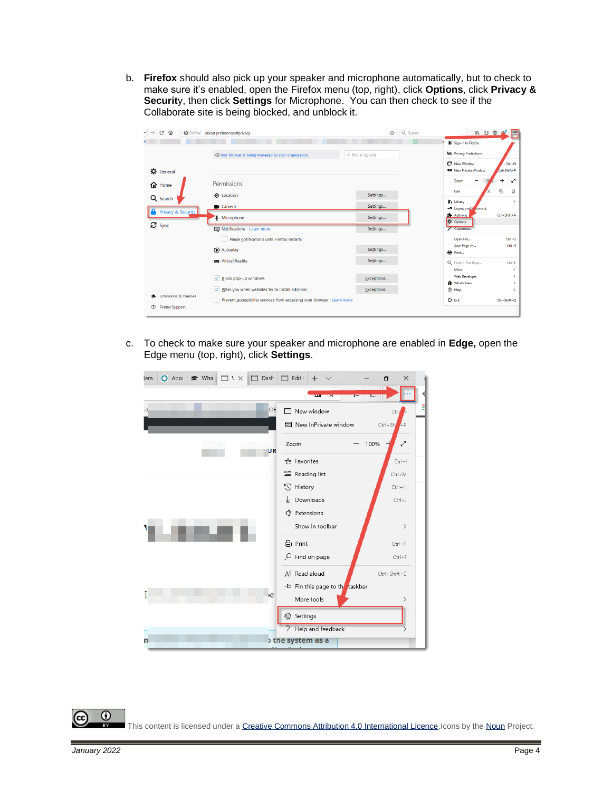b. **Firefox** should also pick up your speaker and microphone automatically, but to check to make sure it's enabled, open the Firefox menu (top, right), click **Options**, click **Privacy & Securit**y, then click **Settings** for Microphone. You can then check to see if the Collaborate site is being blocked, and unblock it.



c. To check to make sure your speaker and microphone are enabled in **Edge,** open the Edge menu (top, right), click **Settings**.

| <b>≥</b> What<br>$\Box$ Dash<br>$\bullet$ Abot<br>$\Box$ $\vee$<br>lemi | Edit I<br>Ħ<br>$^{+}$           | Φ<br>$\times$              |
|-------------------------------------------------------------------------|---------------------------------|----------------------------|
|                                                                         | <b>LEGAL</b><br>$\sqrt{2}$      |                            |
| Cc.<br>CIE                                                              | New window<br>n                 | Ctrl N                     |
|                                                                         | New InPrivate window            | $Ctrl + Sh$ + P            |
| UR                                                                      | 100%<br>Zoom                    | $\boldsymbol{\mathcal{L}}$ |
|                                                                         | <b>TE</b> Favorites             | $Ctrl +  $                 |
|                                                                         | 旨 Reading list                  | $Ctrl + M$                 |
|                                                                         | 0<br>History                    | $Ctrl + H$                 |
|                                                                         | Downloads<br>↓                  | $Ctrl + J$                 |
|                                                                         | ₹3 Extensions                   |                            |
|                                                                         | Show in toolbar                 | $\left. \right\rangle$     |
|                                                                         | 品 Print                         | $Ctrl + P$                 |
|                                                                         | Q<br>Find on page               | $Ctrl + F$                 |
|                                                                         | A <sup>y</sup> Read aloud       | $Ctrl + Shift + G$         |
| u.                                                                      | +→ Pin this page to the taskbar |                            |
| $\rightarrow$ e                                                         | More tools                      |                            |
|                                                                         | Settings<br>503                 |                            |
|                                                                         | Help and feedback               |                            |
| n                                                                       | the system as a                 |                            |

 $\odot$ This content is licensed under [a Creative Commons Attribution 4.0 International Licence.I](https://creativecommons.org/licenses/by/4.0/)cons by th[e Noun](https://creativecommons.org/website-icons/) Project.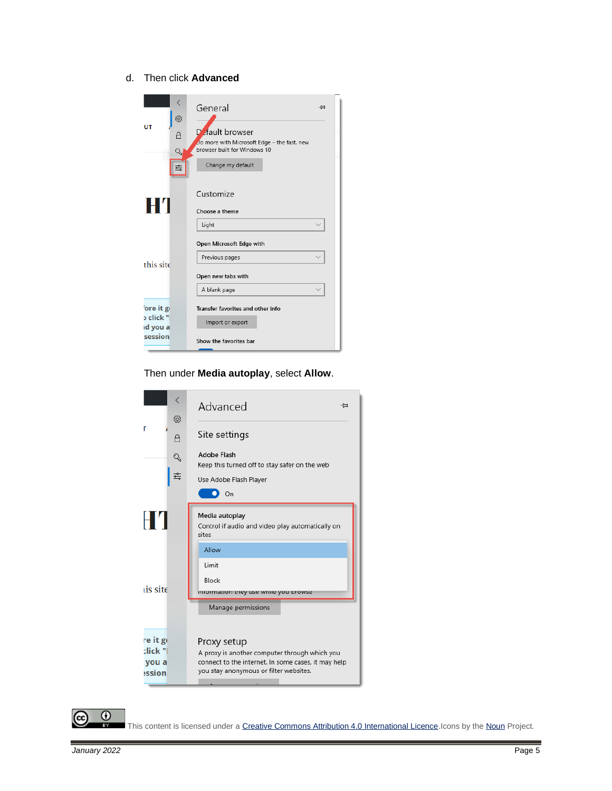d. Then click **Advanced**

|                        | త్రి        | General                                                                                                             | -1⊐ |
|------------------------|-------------|---------------------------------------------------------------------------------------------------------------------|-----|
| UТ                     | А<br>Q<br>흨 | Default browser<br>Do more with Microsoft Edge - the fast, new<br>browser built for Windows 10<br>Change my default |     |
| H'I                    |             | Customize<br>Choose a theme                                                                                         |     |
|                        |             | Light                                                                                                               |     |
|                        |             | Open Microsoft Edge with                                                                                            |     |
| this site              |             | Previous pages                                                                                                      |     |
|                        |             | Open new tabs with                                                                                                  |     |
|                        |             | A blank page                                                                                                        |     |
| ore it go              |             | Transfer favorites and other info                                                                                   |     |
| o click "l<br>ıd you a |             | Import or export                                                                                                    |     |
| session                |             | Show the favorites bar                                                                                              |     |

Then under **Media autoplay**, select **Allow**.





This content is licensed under [a Creative Commons Attribution 4.0 International Licence.I](https://creativecommons.org/licenses/by/4.0/)cons by th[e Noun](https://creativecommons.org/website-icons/) Project.